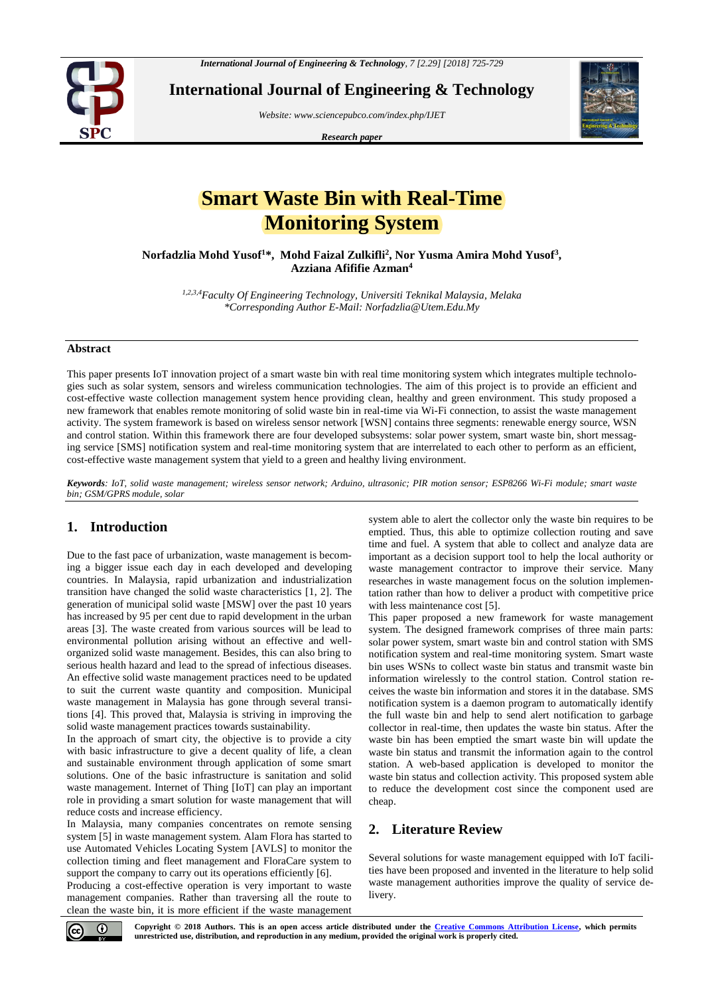

**International Journal of Engineering & Technology**

*Website: www.sciencepubco.com/index.php/IJET* 

*Research paper*



# **Smart Waste Bin with Real-Time Monitoring System**

**Norfadzlia Mohd Yusof<sup>1</sup>\*, Mohd Faizal Zulkifli<sup>2</sup> , Nor Yusma Amira Mohd Yusof<sup>3</sup> , Azziana Afififie Azman<sup>4</sup>**

*1,2,3,4Faculty Of Engineering Technology, Universiti Teknikal Malaysia, Melaka \*Corresponding Author E-Mail: Norfadzlia@Utem.Edu.My*

#### **Abstract**

This paper presents IoT innovation project of a smart waste bin with real time monitoring system which integrates multiple technologies such as solar system, sensors and wireless communication technologies. The aim of this project is to provide an efficient and cost-effective waste collection management system hence providing clean, healthy and green environment. This study proposed a new framework that enables remote monitoring of solid waste bin in real-time via Wi-Fi connection, to assist the waste management activity. The system framework is based on wireless sensor network [WSN] contains three segments: renewable energy source, WSN and control station. Within this framework there are four developed subsystems: solar power system, smart waste bin, short messaging service [SMS] notification system and real-time monitoring system that are interrelated to each other to perform as an efficient, cost-effective waste management system that yield to a green and healthy living environment.

*Keywords: IoT, solid waste management; wireless sensor network; Arduino, ultrasonic; PIR motion sensor; ESP8266 Wi-Fi module; smart waste bin; GSM/GPRS module, solar* 

# **1. Introduction**

Due to the fast pace of urbanization, waste management is becoming a bigger issue each day in each developed and developing countries. In Malaysia, rapid urbanization and industrialization transition have changed the solid waste characteristics [\[1,](#page-3-0) [2\]](#page-3-1). The generation of municipal solid waste [MSW] over the past 10 years has increased by 95 per cent due to rapid development in the urban areas [\[3\]](#page-3-2). The waste created from various sources will be lead to environmental pollution arising without an effective and wellorganized solid waste management. Besides, this can also bring to serious health hazard and lead to the spread of infectious diseases. An effective solid waste management practices need to be updated to suit the current waste quantity and composition. Municipal waste management in Malaysia has gone through several transitions [\[4\]](#page-3-3). This proved that, Malaysia is striving in improving the solid waste management practices towards sustainability.

In the approach of smart city, the objective is to provide a city with basic infrastructure to give a decent quality of life, a clean and sustainable environment through application of some smart solutions. One of the basic infrastructure is sanitation and solid waste management. Internet of Thing [IoT] can play an important role in providing a smart solution for waste management that will reduce costs and increase efficiency.

In Malaysia, many companies concentrates on remote sensing system [\[5\]](#page-3-4) in waste management system. Alam Flora has started to use Automated Vehicles Locating System [AVLS] to monitor the collection timing and fleet management and FloraCare system to support the company to carry out its operations efficiently [\[6\]](#page-3-5).

Producing a cost-effective operation is very important to waste management companies. Rather than traversing all the route to clean the waste bin, it is more efficient if the waste management system able to alert the collector only the waste bin requires to be emptied. Thus, this able to optimize collection routing and save time and fuel. A system that able to collect and analyze data are important as a decision support tool to help the local authority or waste management contractor to improve their service. Many researches in waste management focus on the solution implementation rather than how to deliver a product with competitive price with less maintenance cost [\[5\]](#page-3-4).

This paper proposed a new framework for waste management system. The designed framework comprises of three main parts: solar power system, smart waste bin and control station with SMS notification system and real-time monitoring system. Smart waste bin uses WSNs to collect waste bin status and transmit waste bin information wirelessly to the control station. Control station receives the waste bin information and stores it in the database. SMS notification system is a daemon program to automatically identify the full waste bin and help to send alert notification to garbage collector in real-time, then updates the waste bin status. After the waste bin has been emptied the smart waste bin will update the waste bin status and transmit the information again to the control station. A web-based application is developed to monitor the waste bin status and collection activity. This proposed system able to reduce the development cost since the component used are cheap.

# **2. Literature Review**

Several solutions for waste management equipped with IoT facilities have been proposed and invented in the literature to help solid waste management authorities improve the quality of service delivery.



**Copyright © 2018 Authors. This is an open access article distributed under the [Creative Commons Attribution License,](http://creativecommons.org/licenses/by/3.0/) which permits unrestricted use, distribution, and reproduction in any medium, provided the original work is properly cited.**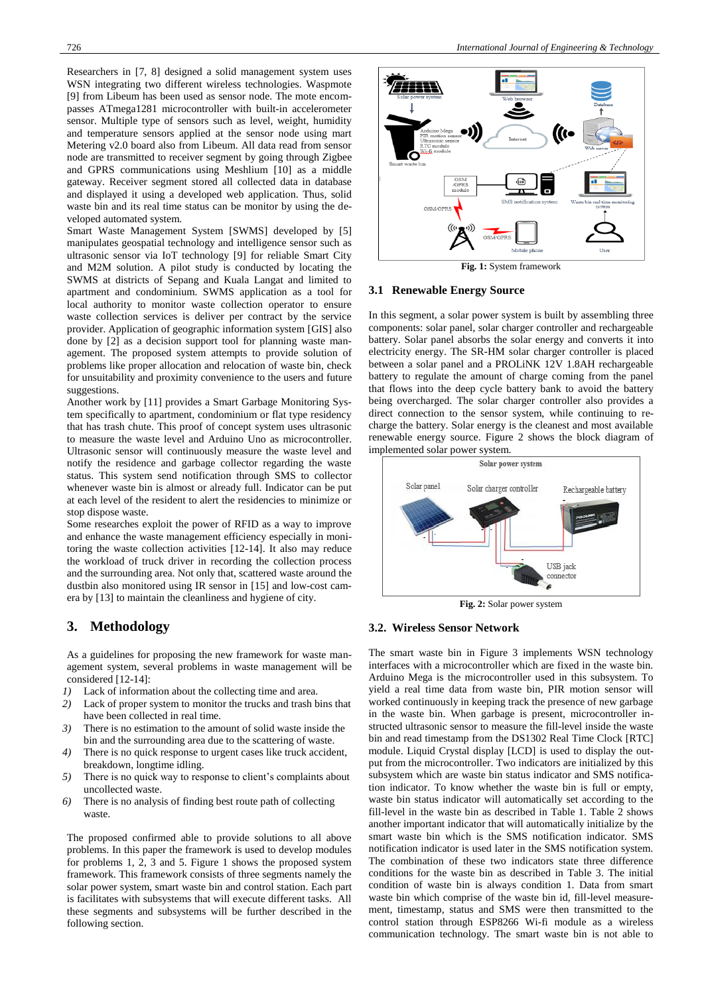Researchers in [\[7,](#page-3-6) [8\]](#page-3-7) designed a solid management system uses WSN integrating two different wireless technologies. Waspmote [\[9\]](#page-4-0) from Libeum has been used as sensor node. The mote encompasses ATmega1281 microcontroller with built-in accelerometer sensor. Multiple type of sensors such as level, weight, humidity and temperature sensors applied at the sensor node using mart Metering v2.0 board also from Libeum. All data read from sensor node are transmitted to receiver segment by going through Zigbee and GPRS communications using Meshlium [\[10\]](#page-4-1) as a middle gateway. Receiver segment stored all collected data in database and displayed it using a developed web application. Thus, solid waste bin and its real time status can be monitor by using the developed automated system.

Smart Waste Management System [SWMS] developed by [\[5\]](#page-3-4) manipulates geospatial technology and intelligence sensor such as ultrasonic sensor via IoT technology [\[9\]](#page-4-0) for reliable Smart City and M2M solution. A pilot study is conducted by locating the SWMS at districts of Sepang and Kuala Langat and limited to apartment and condominium. SWMS application as a tool for local authority to monitor waste collection operator to ensure waste collection services is deliver per contract by the service provider. Application of geographic information system [GIS] also done by [\[2\]](#page-3-1) as a decision support tool for planning waste management. The proposed system attempts to provide solution of problems like proper allocation and relocation of waste bin, check for unsuitability and proximity convenience to the users and future suggestions.

Another work by [\[11\]](#page-4-2) provides a Smart Garbage Monitoring System specifically to apartment, condominium or flat type residency that has trash chute. This proof of concept system uses ultrasonic to measure the waste level and Arduino Uno as microcontroller. Ultrasonic sensor will continuously measure the waste level and notify the residence and garbage collector regarding the waste status. This system send notification through SMS to collector whenever waste bin is almost or already full. Indicator can be put at each level of the resident to alert the residencies to minimize or stop dispose waste.

Some researches exploit the power of RFID as a way to improve and enhance the waste management efficiency especially in monitoring the waste collection activities [\[12-14\]](#page-4-3). It also may reduce the workload of truck driver in recording the collection process and the surrounding area. Not only that, scattered waste around the dustbin also monitored using IR sensor in [\[15\]](#page-4-4) and low-cost camera by [\[13\]](#page-4-5) to maintain the cleanliness and hygiene of city.

# **3. Methodology**

As a guidelines for proposing the new framework for waste management system, several problems in waste management will be considered [\[12-14\]](#page-4-3):

- *1)* Lack of information about the collecting time and area.
- *2)* Lack of proper system to monitor the trucks and trash bins that have been collected in real time.
- *3)* There is no estimation to the amount of solid waste inside the bin and the surrounding area due to the scattering of waste.
- *4)* There is no quick response to urgent cases like truck accident, breakdown, longtime idling.
- *5)* There is no quick way to response to client's complaints about uncollected waste.
- *6)* There is no analysis of finding best route path of collecting waste.

The proposed confirmed able to provide solutions to all above problems. In this paper the framework is used to develop modules for problems 1, 2, 3 and 5. Figure 1 shows the proposed system framework. This framework consists of three segments namely the solar power system, smart waste bin and control station. Each part is facilitates with subsystems that will execute different tasks. All these segments and subsystems will be further described in the following section.



**Fig. 1:** System framework

#### **3.1 Renewable Energy Source**

In this segment, a solar power system is built by assembling three components: solar panel, solar charger controller and rechargeable battery. Solar panel absorbs the solar energy and converts it into electricity energy. The SR-HM solar charger controller is placed between a solar panel and a PROLiNK 12V 1.8AH rechargeable battery to regulate the amount of charge coming from the panel that flows into the deep cycle battery bank to avoid the battery being overcharged. The solar charger controller also provides a direct connection to the sensor system, while continuing to recharge the battery. Solar energy is the cleanest and most available renewable energy source. Figure 2 shows the block diagram of implemented solar power system.



**Fig. 2:** Solar power system

#### **3.2. Wireless Sensor Network**

The smart waste bin in Figure 3 implements WSN technology interfaces with a microcontroller which are fixed in the waste bin. Arduino Mega is the microcontroller used in this subsystem. To yield a real time data from waste bin, PIR motion sensor will worked continuously in keeping track the presence of new garbage in the waste bin. When garbage is present, microcontroller instructed ultrasonic sensor to measure the fill-level inside the waste bin and read timestamp from the DS1302 Real Time Clock [RTC] module. Liquid Crystal display [LCD] is used to display the output from the microcontroller. Two indicators are initialized by this subsystem which are waste bin status indicator and SMS notification indicator. To know whether the waste bin is full or empty, waste bin status indicator will automatically set according to the fill-level in the waste bin as described in Table 1. Table 2 shows another important indicator that will automatically initialize by the smart waste bin which is the SMS notification indicator. SMS notification indicator is used later in the SMS notification system. The combination of these two indicators state three difference conditions for the waste bin as described in Table 3. The initial condition of waste bin is always condition 1. Data from smart waste bin which comprise of the waste bin id, fill-level measurement, timestamp, status and SMS were then transmitted to the control station through ESP8266 Wi-fi module as a wireless communication technology. The smart waste bin is not able to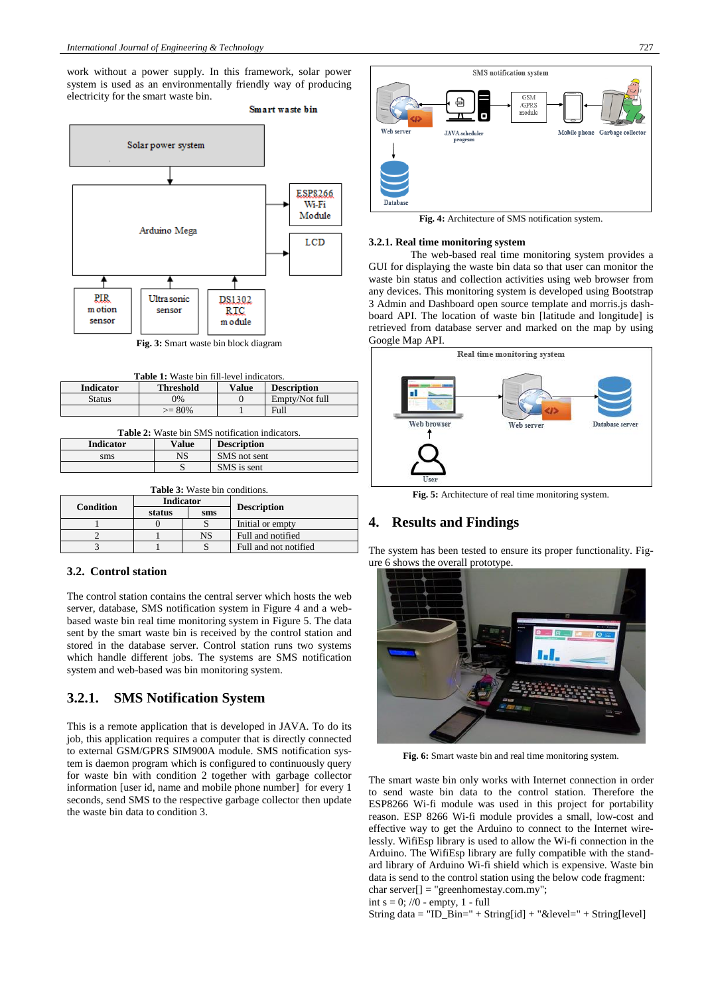work without a power supply. In this framework, solar power system is used as an environmentally friendly way of producing electricity for the smart waste bin.



**Fig. 3:** Smart waste bin block diagram

|  |  |  | <b>Table 1:</b> Waste bin fill-level indicators. |
|--|--|--|--------------------------------------------------|
|--|--|--|--------------------------------------------------|

| <b>Table 1.</b> Waste bill the revel multators. |            |       |                    |  |
|-------------------------------------------------|------------|-------|--------------------|--|
| <b>Indicator</b>                                | Threshold  | Value | <b>Description</b> |  |
| Status                                          | $\gamma\%$ |       | Empty/Not full     |  |
|                                                 | $>= 80\%$  |       | Full               |  |
|                                                 |            |       |                    |  |

| <b>Table 2:</b> Waste bin SMS notification indicators. |       |                    |  |  |
|--------------------------------------------------------|-------|--------------------|--|--|
| <b>Indicator</b>                                       | Value | <b>Description</b> |  |  |
| sms                                                    | NS    | SMS not sent       |  |  |
|                                                        |       | SMS is sent        |  |  |
|                                                        |       |                    |  |  |

**Table 3:** Waste bin conditions.

| Condition | <b>Indicator</b> |     |                       |  |
|-----------|------------------|-----|-----------------------|--|
|           | status           | sms | <b>Description</b>    |  |
|           |                  |     | Initial or empty      |  |
|           |                  | NS  | Full and notified     |  |
|           |                  |     | Full and not notified |  |

### **3.2. Control station**

The control station contains the central server which hosts the web server, database, SMS notification system in Figure 4 and a webbased waste bin real time monitoring system in Figure 5. The data sent by the smart waste bin is received by the control station and stored in the database server. Control station runs two systems which handle different jobs. The systems are SMS notification system and web-based was bin monitoring system.

## **3.2.1. SMS Notification System**

This is a remote application that is developed in JAVA. To do its job, this application requires a computer that is directly connected to external GSM/GPRS SIM900A module. SMS notification system is daemon program which is configured to continuously query for waste bin with condition 2 together with garbage collector information [user id, name and mobile phone number] for every 1 seconds, send SMS to the respective garbage collector then update the waste bin data to condition 3.



**Fig. 4:** Architecture of SMS notification system.

#### **3.2.1. Real time monitoring system**

The web-based real time monitoring system provides a GUI for displaying the waste bin data so that user can monitor the waste bin status and collection activities using web browser from any devices. This monitoring system is developed using Bootstrap 3 Admin and Dashboard open source template and morris.js dashboard API. The location of waste bin [latitude and longitude] is retrieved from database server and marked on the map by using Google Map API.



**Fig. 5:** Architecture of real time monitoring system.

# **4. Results and Findings**

The system has been tested to ensure its proper functionality. Figure 6 shows the overall prototype.



**Fig. 6:** Smart waste bin and real time monitoring system.

The smart waste bin only works with Internet connection in order to send waste bin data to the control station. Therefore the ESP8266 Wi-fi module was used in this project for portability reason. ESP 8266 Wi-fi module provides a small, low-cost and effective way to get the Arduino to connect to the Internet wirelessly. WifiEsp library is used to allow the Wi-fi connection in the Arduino. The WifiEsp library are fully compatible with the standard library of Arduino Wi-fi shield which is expensive. Waste bin data is send to the control station using the below code fragment: char server[] = "greenhomestay.com.my";

int  $s = 0$ ; //0 - empty, 1 - full

String data = "ID\_Bin=" + String[id] + "&level=" + String[level]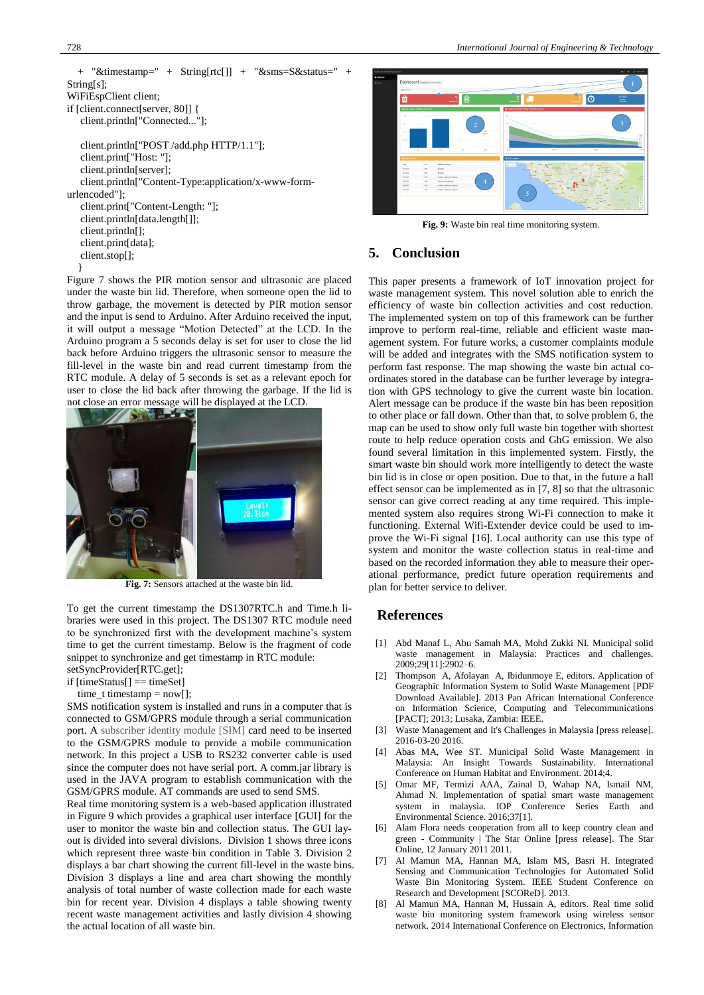```
+ "&timestamp=" + String[rtc[]] + "&sms=S&status=" +
String[s];
WiFiEspClient client; 
if [client.connect[server, 80]] {
    client.println["Connected..."];
    client.println["POST /add.php HTTP/1.1"];
    client.print["Host: "];
    client.println[server];
    client.println["Content-Type:application/x-www-form-
urlencoded"];
    client.print["Content-Length: "];
    client.println[data.length[]];
    client.println[];
    client.print[data];
    client.stop[];
```

```
 }
```
Figure 7 shows the PIR motion sensor and ultrasonic are placed under the waste bin lid. Therefore, when someone open the lid to throw garbage, the movement is detected by PIR motion sensor and the input is send to Arduino. After Arduino received the input, it will output a message "Motion Detected" at the LCD. In the Arduino program a 5 seconds delay is set for user to close the lid back before Arduino triggers the ultrasonic sensor to measure the fill-level in the waste bin and read current timestamp from the RTC module. A delay of 5 seconds is set as a relevant epoch for user to close the lid back after throwing the garbage. If the lid is not close an error message will be displayed at the LCD.



**Fig. 7:** Sensors attached at the waste bin lid.

To get the current timestamp the DS1307RTC.h and Time.h libraries were used in this project. The DS1307 RTC module need to be synchronized first with the development machine's system time to get the current timestamp. Below is the fragment of code snippet to synchronize and get timestamp in RTC module:

setSyncProvider[RTC.get]; if [timeStatus[] == timeSet]

time\_t timestamp =  $now[]$ ;

SMS notification system is installed and runs in a computer that is connected to GSM/GPRS module through a serial communication port. A subscriber identity module [SIM] card need to be inserted to the GSM/GPRS module to provide a mobile communication network. In this project a USB to RS232 converter cable is used since the computer does not have serial port. A comm.jar library is used in the JAVA program to establish communication with the GSM/GPRS module. AT commands are used to send SMS.

Real time monitoring system is a web-based application illustrated in Figure 9 which provides a graphical user interface [GUI] for the user to monitor the waste bin and collection status. The GUI layout is divided into several divisions. Division 1 shows three icons which represent three waste bin condition in Table 3. Division 2 displays a bar chart showing the current fill-level in the waste bins. Division 3 displays a line and area chart showing the monthly analysis of total number of waste collection made for each waste bin for recent year. Division 4 displays a table showing twenty recent waste management activities and lastly division 4 showing the actual location of all waste bin.



**Fig. 9:** Waste bin real time monitoring system.

# **5. Conclusion**

This paper presents a framework of IoT innovation project for waste management system. This novel solution able to enrich the efficiency of waste bin collection activities and cost reduction. The implemented system on top of this framework can be further improve to perform real-time, reliable and efficient waste management system. For future works, a customer complaints module will be added and integrates with the SMS notification system to perform fast response. The map showing the waste bin actual coordinates stored in the database can be further leverage by integration with GPS technology to give the current waste bin location. Alert message can be produce if the waste bin has been reposition to other place or fall down. Other than that, to solve problem 6, the map can be used to show only full waste bin together with shortest route to help reduce operation costs and GhG emission. We also found several limitation in this implemented system. Firstly, the smart waste bin should work more intelligently to detect the waste bin lid is in close or open position. Due to that, in the future a hall effect sensor can be implemented as in [\[7,](#page-3-6) [8\]](#page-3-7) so that the ultrasonic sensor can give correct reading at any time required. This implemented system also requires strong Wi-Fi connection to make it functioning. External Wifi-Extender device could be used to improve the Wi-Fi signal [\[16\]](#page-4-6). Local authority can use this type of system and monitor the waste collection status in real-time and based on the recorded information they able to measure their operational performance, predict future operation requirements and plan for better service to deliver.

# **References**

- <span id="page-3-0"></span>[1] Abd Manaf L, Abu Samah MA, Mohd Zukki NI. Municipal solid waste management in Malaysia: Practices and challenges. 2009;29[11]:2902–6.
- <span id="page-3-1"></span>[2] Thompson A, Afolayan A, Ibidunmoye E, editors. Application of Geographic Information System to Solid Waste Management [PDF Download Available]. 2013 Pan African International Conference on Information Science, Computing and Telecommunications [PACT]; 2013; Lusaka, Zambia: IEEE.
- <span id="page-3-2"></span>[3] Waste Management and It's Challenges in Malaysia [press release]. 2016-03-20 2016.
- <span id="page-3-3"></span>Abas MA, Wee ST. Municipal Solid Waste Management in Malaysia: An Insight Towards Sustainability. International Conference on Human Habitat and Environment. 2014;4.
- <span id="page-3-4"></span>[5] Omar MF, Termizi AAA, Zainal D, Wahap NA, Ismail NM, Ahmad N. Implementation of spatial smart waste management system in malaysia. IOP Conference Series Earth and Environmental Science. 2016;37[1].
- <span id="page-3-5"></span>[6] Alam Flora needs cooperation from all to keep country clean and green - Community | The Star Online [press release]. The Star Online, 12 January 2011 2011.
- <span id="page-3-6"></span>[7] Al Mamun MA, Hannan MA, Islam MS, Basri H. Integrated Sensing and Communication Technologies for Automated Solid Waste Bin Monitoring System. IEEE Student Conference on Research and Development [SCOReD]. 2013.
- <span id="page-3-7"></span>[8] Al Mamun MA, Hannan M, Hussain A, editors. Real time solid waste bin monitoring system framework using wireless sensor network. 2014 International Conference on Electronics, Information